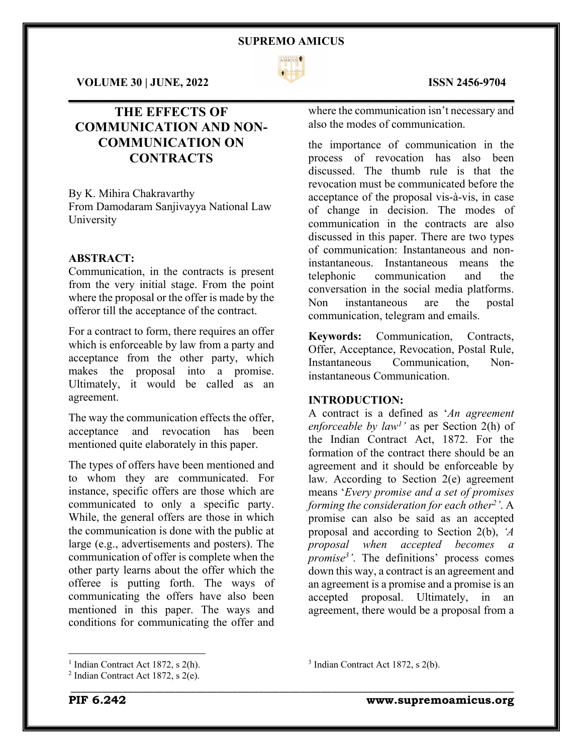

 $\mathcal{L}_\mathcal{L} = \mathcal{L}_\mathcal{L} = \mathcal{L}_\mathcal{L} = \mathcal{L}_\mathcal{L} = \mathcal{L}_\mathcal{L} = \mathcal{L}_\mathcal{L} = \mathcal{L}_\mathcal{L} = \mathcal{L}_\mathcal{L} = \mathcal{L}_\mathcal{L} = \mathcal{L}_\mathcal{L} = \mathcal{L}_\mathcal{L} = \mathcal{L}_\mathcal{L} = \mathcal{L}_\mathcal{L} = \mathcal{L}_\mathcal{L} = \mathcal{L}_\mathcal{L} = \mathcal{L}_\mathcal{L} = \mathcal{L}_\mathcal{L}$ 

\_\_\_\_\_\_\_\_\_\_\_\_\_\_\_\_\_\_\_\_\_\_\_\_\_\_\_\_\_\_\_\_\_\_\_\_\_\_\_\_\_\_\_\_\_\_\_\_\_\_\_\_\_\_\_\_\_\_\_\_\_\_\_\_\_\_\_\_\_\_\_\_\_\_\_\_\_\_\_\_\_\_\_\_\_

**VOLUME 30 | JUNE, 2022 ISSN 2456-9704**

## **THE EFFECTS OF COMMUNICATION AND NON-COMMUNICATION ON CONTRACTS**

By K. Mihira Chakravarthy From Damodaram Sanjivayya National Law University

### **ABSTRACT:**

Communication, in the contracts is present from the very initial stage. From the point where the proposal or the offer is made by the offeror till the acceptance of the contract.

For a contract to form, there requires an offer which is enforceable by law from a party and acceptance from the other party, which makes the proposal into a promise. Ultimately, it would be called as an agreement.

The way the communication effects the offer, acceptance and revocation has been mentioned quite elaborately in this paper.

The types of offers have been mentioned and to whom they are communicated. For instance, specific offers are those which are communicated to only a specific party. While, the general offers are those in which the communication is done with the public at large (e.g., advertisements and posters). The communication of offer is complete when the other party learns about the offer which the offeree is putting forth. The ways of communicating the offers have also been mentioned in this paper. The ways and conditions for communicating the offer and

where the communication isn't necessary and also the modes of communication.

the importance of communication in the process of revocation has also been discussed. The thumb rule is that the revocation must be communicated before the acceptance of the proposal vis-à-vis, in case of change in decision. The modes of communication in the contracts are also discussed in this paper. There are two types of communication: Instantaneous and noninstantaneous. Instantaneous means the telephonic communication and the conversation in the social media platforms. Non instantaneous are the postal communication, telegram and emails.

**Keywords:** Communication, Contracts, Offer, Acceptance, Revocation, Postal Rule, Instantaneous Communication, Noninstantaneous Communication.

#### **INTRODUCTION:**

A contract is a defined as '*An agreement enforceable by law1 '* as per Section 2(h) of the Indian Contract Act, 1872. For the formation of the contract there should be an agreement and it should be enforceable by law. According to Section 2(e) agreement means '*Every promise and a set of promises forming the consideration for each other2 '*. A promise can also be said as an accepted proposal and according to Section 2(b), *'A proposal when accepted becomes a promise3'*. The definitions' process comes down this way, a contract is an agreement and an agreement is a promise and a promise is an accepted proposal. Ultimately, in an agreement, there would be a proposal from a

<sup>3</sup> Indian Contract Act 1872, s 2(b).

<sup>&</sup>lt;sup>1</sup> Indian Contract Act 1872, s  $2(h)$ .

<sup>&</sup>lt;sup>2</sup> Indian Contract Act 1872, s  $2(e)$ .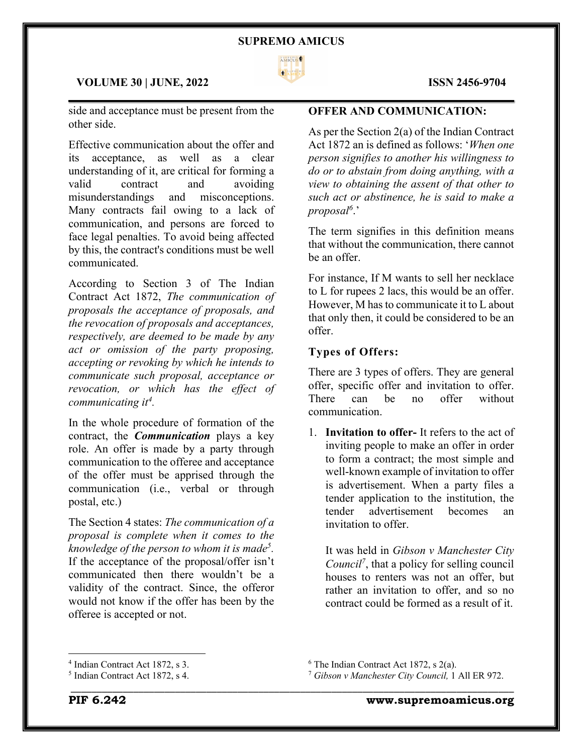

#### **VOLUME 30 | JUNE, 2022 ISSN 2456-9704**

side and acceptance must be present from the other side.

Effective communication about the offer and its acceptance, as well as a clear understanding of it, are critical for forming a valid contract and avoiding misunderstandings and misconceptions. Many contracts fail owing to a lack of communication, and persons are forced to face legal penalties. To avoid being affected by this, the contract's conditions must be well communicated.

According to Section 3 of The Indian Contract Act 1872, *The communication of proposals the acceptance of proposals, and the revocation of proposals and acceptances, respectively, are deemed to be made by any act or omission of the party proposing, accepting or revoking by which he intends to communicate such proposal, acceptance or revocation, or which has the effect of communicating it4 .*

In the whole procedure of formation of the contract, the *Communication* plays a key role. An offer is made by a party through communication to the offeree and acceptance of the offer must be apprised through the communication (i.e., verbal or through postal, etc.)

The Section 4 states: *The communication of a proposal is complete when it comes to the knowledge of the person to whom it is made5.*  If the acceptance of the proposal/offer isn't communicated then there wouldn't be a validity of the contract. Since, the offeror would not know if the offer has been by the offeree is accepted or not.

### $\mathcal{L}_\mathcal{L} = \mathcal{L}_\mathcal{L} = \mathcal{L}_\mathcal{L} = \mathcal{L}_\mathcal{L} = \mathcal{L}_\mathcal{L} = \mathcal{L}_\mathcal{L} = \mathcal{L}_\mathcal{L} = \mathcal{L}_\mathcal{L} = \mathcal{L}_\mathcal{L} = \mathcal{L}_\mathcal{L} = \mathcal{L}_\mathcal{L} = \mathcal{L}_\mathcal{L} = \mathcal{L}_\mathcal{L} = \mathcal{L}_\mathcal{L} = \mathcal{L}_\mathcal{L} = \mathcal{L}_\mathcal{L} = \mathcal{L}_\mathcal{L}$ **OFFER AND COMMUNICATION:**

As per the Section 2(a) of the Indian Contract Act 1872 an is defined as follows: '*When one person signifies to another his willingness to do or to abstain from doing anything, with a view to obtaining the assent of that other to such act or abstinence, he is said to make a proposal6* .'

The term signifies in this definition means that without the communication, there cannot be an offer.

For instance, If M wants to sell her necklace to L for rupees 2 lacs, this would be an offer. However, M has to communicate it to L about that only then, it could be considered to be an offer.

#### **Types of Offers:**

There are 3 types of offers. They are general offer, specific offer and invitation to offer. There can be no offer without communication.

1. **Invitation to offer-** It refers to the act of inviting people to make an offer in order to form a contract; the most simple and well-known example of invitation to offer is advertisement. When a party files a tender application to the institution, the tender advertisement becomes an invitation to offer.

It was held in *Gibson v Manchester City Council7*, that a policy for selling council houses to renters was not an offer, but rather an invitation to offer, and so no contract could be formed as a result of it.

<sup>4</sup> Indian Contract Act 1872, s 3.

<sup>5</sup> Indian Contract Act 1872, s 4.

 $6$  The Indian Contract Act 1872, s 2(a).

<sup>7</sup> *Gibson v Manchester City Council,* 1 All ER 972.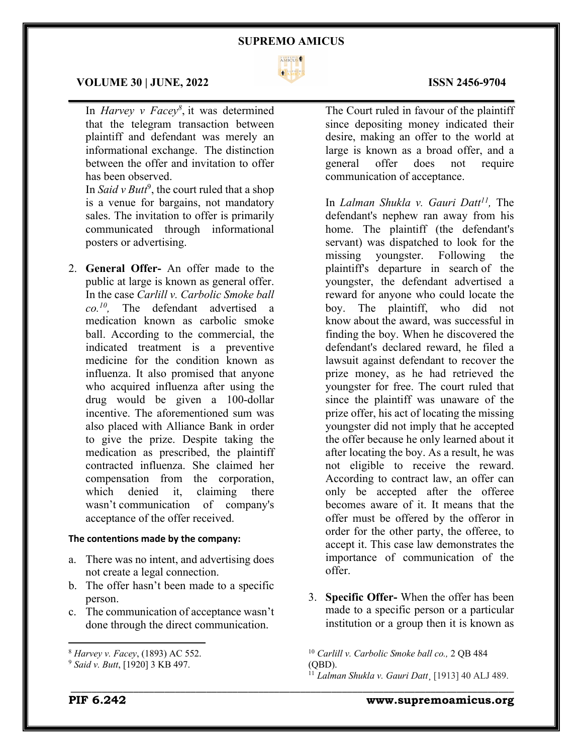

 $\mathcal{L}_\mathcal{L} = \mathcal{L}_\mathcal{L} = \mathcal{L}_\mathcal{L} = \mathcal{L}_\mathcal{L} = \mathcal{L}_\mathcal{L} = \mathcal{L}_\mathcal{L} = \mathcal{L}_\mathcal{L} = \mathcal{L}_\mathcal{L} = \mathcal{L}_\mathcal{L} = \mathcal{L}_\mathcal{L} = \mathcal{L}_\mathcal{L} = \mathcal{L}_\mathcal{L} = \mathcal{L}_\mathcal{L} = \mathcal{L}_\mathcal{L} = \mathcal{L}_\mathcal{L} = \mathcal{L}_\mathcal{L} = \mathcal{L}_\mathcal{L}$ 

#### **VOLUME 30 | JUNE, 2022 ISSN 2456-9704**

In *Harvey v Facey8* , it was determined that the telegram transaction between plaintiff and defendant was merely an informational exchange. The distinction between the offer and invitation to offer has been observed.

In *Said v Butt<sup>9</sup>*, the court ruled that a shop is a venue for bargains, not mandatory sales. The invitation to offer is primarily communicated through informational posters or advertising.

2. **General Offer-** An offer made to the public at large is known as general offer. In the case *Carlill v. Carbolic Smoke ball co.10,* The defendant advertised a medication known as carbolic smoke ball. According to the commercial, the indicated treatment is a preventive medicine for the condition known as influenza. It also promised that anyone who acquired influenza after using the drug would be given a 100-dollar incentive. The aforementioned sum was also placed with Alliance Bank in order to give the prize. Despite taking the medication as prescribed, the plaintiff contracted influenza. She claimed her compensation from the corporation, which denied it, claiming there wasn't communication of company's acceptance of the offer received.

#### **The contentions made by the company:**

- a. There was no intent, and advertising does not create a legal connection.
- b. The offer hasn't been made to a specific person.
- c. The communication of acceptance wasn't done through the direct communication.

The Court ruled in favour of the plaintiff since depositing money indicated their desire, making an offer to the world at large is known as a broad offer, and a general offer does not require communication of acceptance.

In *Lalman Shukla v. Gauri Datt11,* The defendant's nephew ran away from his home. The plaintiff (the defendant's servant) was dispatched to look for the missing youngster. Following the plaintiff's departure in search of the youngster, the defendant advertised a reward for anyone who could locate the boy. The plaintiff, who did not know about the award, was successful in finding the boy. When he discovered the defendant's declared reward, he filed a lawsuit against defendant to recover the prize money, as he had retrieved the youngster for free. The court ruled that since the plaintiff was unaware of the prize offer, his act of locating the missing youngster did not imply that he accepted the offer because he only learned about it after locating the boy. As a result, he was not eligible to receive the reward. According to contract law, an offer can only be accepted after the offeree becomes aware of it. It means that the offer must be offered by the offeror in order for the other party, the offeree, to accept it. This case law demonstrates the importance of communication of the offer.

3. **Specific Offer-** When the offer has been made to a specific person or a particular institution or a group then it is known as

<sup>10</sup> *Carlill v. Carbolic Smoke ball co.,* 2 QB 484 (QBD).

\_\_\_\_\_\_\_\_\_\_\_\_\_\_\_\_\_\_\_\_\_\_\_\_\_\_\_\_\_\_\_\_\_\_\_\_\_\_\_\_\_\_\_\_\_\_\_\_\_\_\_\_\_\_\_\_\_\_\_\_\_\_\_\_\_\_\_\_\_\_\_\_\_\_\_\_\_\_\_\_\_\_\_\_\_

<sup>11</sup> *Lalman Shukla v. Gauri Datt*¸ [1913] 40 ALJ 489.

<sup>8</sup> *Harvey v. Facey*, (1893) AC 552.

<sup>9</sup> *Said v. Butt*, [1920] 3 KB 497.

**PIF 6.242 www.supremoamicus.org**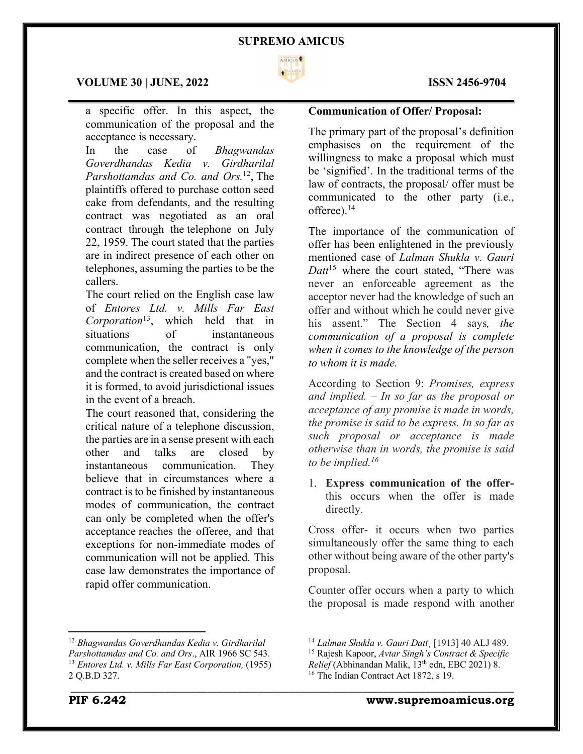

 $\mathcal{L}_\mathcal{L} = \mathcal{L}_\mathcal{L} = \mathcal{L}_\mathcal{L} = \mathcal{L}_\mathcal{L} = \mathcal{L}_\mathcal{L} = \mathcal{L}_\mathcal{L} = \mathcal{L}_\mathcal{L} = \mathcal{L}_\mathcal{L} = \mathcal{L}_\mathcal{L} = \mathcal{L}_\mathcal{L} = \mathcal{L}_\mathcal{L} = \mathcal{L}_\mathcal{L} = \mathcal{L}_\mathcal{L} = \mathcal{L}_\mathcal{L} = \mathcal{L}_\mathcal{L} = \mathcal{L}_\mathcal{L} = \mathcal{L}_\mathcal{L}$ 

#### **VOLUME 30 | JUNE, 2022 ISSN 2456-9704**

a specific offer. In this aspect, the communication of the proposal and the acceptance is necessary.

In the case of *Bhagwandas Goverdhandas Kedia v. Girdharilal Parshottamdas and Co. and Ors.*12, The plaintiffs offered to purchase cotton seed cake from defendants, and the resulting contract was negotiated as an oral contract through the telephone on July 22, 1959. The court stated that the parties are in indirect presence of each other on telephones, assuming the parties to be the callers.

The court relied on the English case law of *Entores Ltd. v. Mills Far East Corporation*13, which held that in situations of instantaneous communication, the contract is only complete when the seller receives a "yes," and the contract is created based on where it is formed, to avoid jurisdictional issues in the event of a breach.

The court reasoned that, considering the critical nature of a telephone discussion, the parties are in a sense present with each other and talks are closed by instantaneous communication. They believe that in circumstances where a contract is to be finished by instantaneous modes of communication, the contract can only be completed when the offer's acceptance reaches the offeree, and that exceptions for non-immediate modes of communication will not be applied. This case law demonstrates the importance of rapid offer communication.

### **Communication of Offer/ Proposal:**

The primary part of the proposal's definition emphasises on the requirement of the willingness to make a proposal which must be 'signified'. In the traditional terms of the law of contracts, the proposal/ offer must be communicated to the other party (i.e., offeree).<sup>14</sup>

The importance of the communication of offer has been enlightened in the previously mentioned case of *Lalman Shukla v. Gauri Datt*<sup>15</sup> where the court stated, "There was never an enforceable agreement as the acceptor never had the knowledge of such an offer and without which he could never give his assent." The Section 4 says*, the communication of a proposal is complete when it comes to the knowledge of the person to whom it is made.*

According to Section 9: *Promises, express and implied. – In so far as the proposal or acceptance of any promise is made in words, the promise is said to be express. In so far as such proposal or acceptance is made otherwise than in words, the promise is said to be implied.16*

1. **Express communication of the offer**this occurs when the offer is made directly.

Cross offer- it occurs when two parties simultaneously offer the same thing to each other without being aware of the other party's proposal.

Counter offer occurs when a party to which the proposal is made respond with another

\_\_\_\_\_\_\_\_\_\_\_\_\_\_\_\_\_\_\_\_\_\_\_\_\_\_\_\_\_\_\_\_\_\_\_\_\_\_\_\_\_\_\_\_\_\_\_\_\_\_\_\_\_\_\_\_\_\_\_\_\_\_\_\_\_\_\_\_\_\_\_\_\_\_\_\_\_\_\_\_\_\_\_\_\_ <sup>12</sup> *Bhagwandas Goverdhandas Kedia v. Girdharilal Parshottamdas and Co. and Ors*., AIR 1966 SC 543. <sup>13</sup> *Entores Ltd. v. Mills Far East Corporation,* (1955) 2 Q.B.D 327.

<sup>14</sup> *Lalman Shukla v. Gauri Datt*¸ [1913] 40 ALJ 489. <sup>15</sup> Rajesh Kapoor, *Avtar Singh's Contract & Specific Relief* (Abhinandan Malik, 13<sup>th</sup> edn, EBC 2021) 8. <sup>16</sup> The Indian Contract Act 1872, s 19.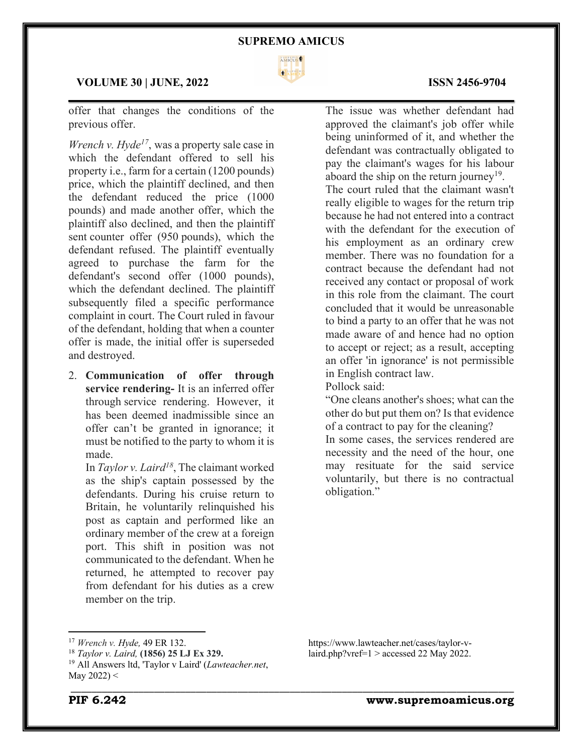

### **VOLUME 30 | JUNE, 2022 ISSN 2456-9704**

offer that changes the conditions of the previous offer.

*Wrench v. Hyde<sup>17</sup>*, was a property sale case in which the defendant offered to sell his property i.e., farm for a certain (1200 pounds) price, which the plaintiff declined, and then the defendant reduced the price (1000 pounds) and made another offer, which the plaintiff also declined, and then the plaintiff sent counter offer (950 pounds), which the defendant refused. The plaintiff eventually agreed to purchase the farm for the defendant's second offer (1000 pounds), which the defendant declined. The plaintiff subsequently filed a specific performance complaint in court. The Court ruled in favour of the defendant, holding that when a counter offer is made, the initial offer is superseded and destroyed.

2. **Communication of offer through service rendering-** It is an inferred offer through service rendering. However, it has been deemed inadmissible since an offer can't be granted in ignorance; it must be notified to the party to whom it is made.

In *Taylor v. Laird18*, The claimant worked as the ship's captain possessed by the defendants. During his cruise return to Britain, he voluntarily relinquished his post as captain and performed like an ordinary member of the crew at a foreign port. This shift in position was not communicated to the defendant. When he returned, he attempted to recover pay from defendant for his duties as a crew member on the trip.

The issue was whether defendant had approved the claimant's job offer while being uninformed of it, and whether the defendant was contractually obligated to pay the claimant's wages for his labour aboard the ship on the return journey<sup>19</sup>. The court ruled that the claimant wasn't really eligible to wages for the return trip because he had not entered into a contract with the defendant for the execution of his employment as an ordinary crew member. There was no foundation for a contract because the defendant had not received any contact or proposal of work in this role from the claimant. The court concluded that it would be unreasonable to bind a party to an offer that he was not made aware of and hence had no option to accept or reject; as a result, accepting an offer 'in ignorance' is not permissible in English contract law.

Pollock said:

"One cleans another's shoes; what can the other do but put them on? Is that evidence of a contract to pay for the cleaning? In some cases, the services rendered are

necessity and the need of the hour, one may resituate for the said service voluntarily, but there is no contractual obligation."

https://www.lawteacher.net/cases/taylor-vlaird.php?vref= $1 >$ accessed 22 May 2022.

# \_\_\_\_\_\_\_\_\_\_\_\_\_\_\_\_\_\_\_\_\_\_\_\_\_\_\_\_\_\_\_\_\_\_\_\_\_\_\_\_\_\_\_\_\_\_\_\_\_\_\_\_\_\_\_\_\_\_\_\_\_\_\_\_\_\_\_\_\_\_\_\_\_\_\_\_\_\_\_\_\_\_\_\_\_

<sup>17</sup> *Wrench v. Hyde,* 49 ER 132.

<sup>18</sup> *Taylor v. Laird,* **(1856) 25 LJ Ex 329.**

<sup>19</sup> All Answers ltd, 'Taylor v Laird' (*Lawteacher.net*, May 2022) <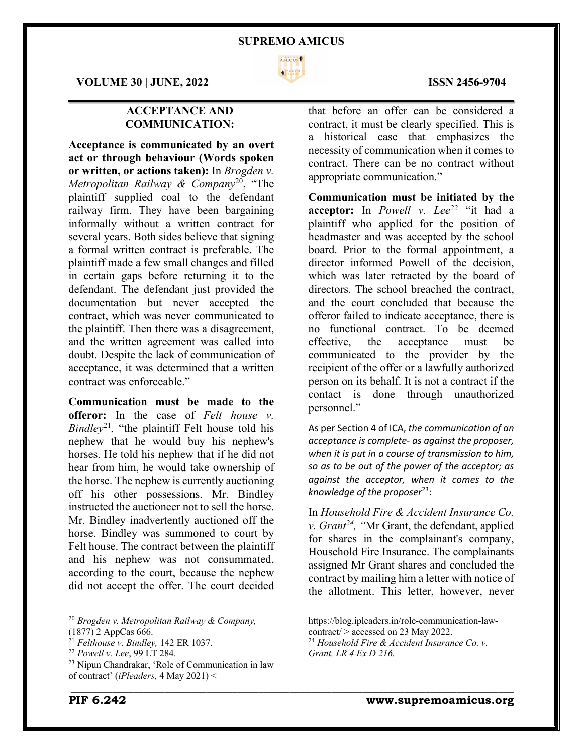

**VOLUME 30 | JUNE, 2022 ISSN 2456-9704**

## **ACCEPTANCE AND COMMUNICATION:**

**Acceptance is communicated by an overt act or through behaviour (Words spoken or written, or actions taken):** In *Brogden v. Metropolitan Railway & Company*20, "The plaintiff supplied coal to the defendant railway firm. They have been bargaining informally without a written contract for several years. Both sides believe that signing a formal written contract is preferable. The plaintiff made a few small changes and filled in certain gaps before returning it to the defendant. The defendant just provided the documentation but never accepted the contract, which was never communicated to the plaintiff. Then there was a disagreement, and the written agreement was called into doubt. Despite the lack of communication of acceptance, it was determined that a written contract was enforceable."

**Communication must be made to the offeror:** In the case of *Felt house v. Bindley*<sup>21</sup>*,* "the plaintiff Felt house told his nephew that he would buy his nephew's horses. He told his nephew that if he did not hear from him, he would take ownership of the horse. The nephew is currently auctioning off his other possessions. Mr. Bindley instructed the auctioneer not to sell the horse. Mr. Bindley inadvertently auctioned off the horse. Bindley was summoned to court by Felt house. The contract between the plaintiff and his nephew was not consummated, according to the court, because the nephew did not accept the offer. The court decided

<sup>20</sup> *Brogden v. Metropolitan Railway & Company,* (1877) 2 AppCas 666.

that before an offer can be considered a contract, it must be clearly specified. This is a historical case that emphasizes the necessity of communication when it comes to contract. There can be no contract without appropriate communication."

**Communication must be initiated by the acceptor:** In *Powell v. Lee22* "it had a plaintiff who applied for the position of headmaster and was accepted by the school board. Prior to the formal appointment, a director informed Powell of the decision, which was later retracted by the board of directors. The school breached the contract, and the court concluded that because the offeror failed to indicate acceptance, there is no functional contract. To be deemed effective, the acceptance must be communicated to the provider by the recipient of the offer or a lawfully authorized person on its behalf. It is not a contract if the contact is done through unauthorized personnel."

As per Section 4 of ICA, *the communication of an acceptance is complete- as against the proposer, when it is put in a course of transmission to him, so as to be out of the power of the acceptor; as against the acceptor, when it comes to the knowledge of the proposer*23:

In *Household Fire & Accident Insurance Co. v. Grant<sup>24</sup>*, "Mr Grant, the defendant, applied for shares in the complainant's company, Household Fire Insurance. The complainants assigned Mr Grant shares and concluded the contract by mailing him a letter with notice of the allotment. This letter, however, never

<sup>21</sup> *Felthouse v. Bindley,* 142 ER 1037.

<sup>22</sup> *Powell v. Lee*, 99 LT 284.

<sup>23</sup> Nipun Chandrakar, 'Role of Communication in law of contract' (*iPleaders,* 4 May 2021) <

https://blog.ipleaders.in/role-communication-lawcontract/ > accessed on 23 May 2022. <sup>24</sup> *Household Fire & Accident Insurance Co. v.* 

*Grant, LR 4 Ex D 216.*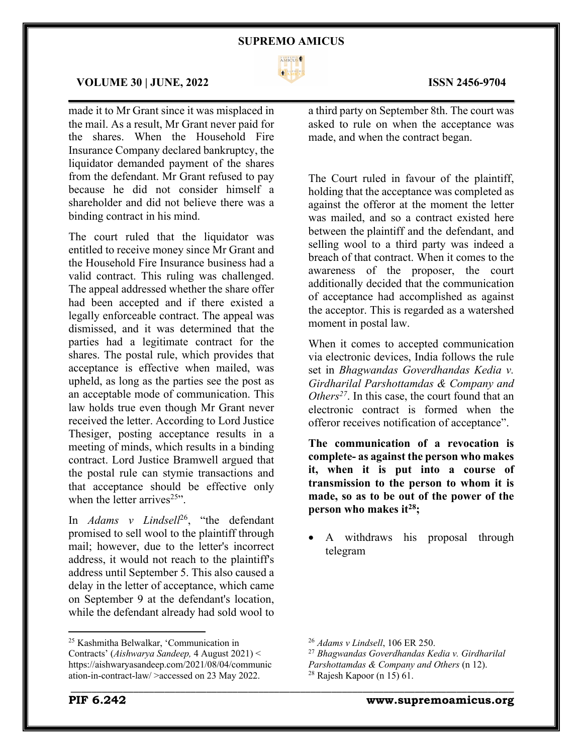

 $\mathcal{L}_\mathcal{L} = \mathcal{L}_\mathcal{L} = \mathcal{L}_\mathcal{L} = \mathcal{L}_\mathcal{L} = \mathcal{L}_\mathcal{L} = \mathcal{L}_\mathcal{L} = \mathcal{L}_\mathcal{L} = \mathcal{L}_\mathcal{L} = \mathcal{L}_\mathcal{L} = \mathcal{L}_\mathcal{L} = \mathcal{L}_\mathcal{L} = \mathcal{L}_\mathcal{L} = \mathcal{L}_\mathcal{L} = \mathcal{L}_\mathcal{L} = \mathcal{L}_\mathcal{L} = \mathcal{L}_\mathcal{L} = \mathcal{L}_\mathcal{L}$ 

#### **VOLUME 30 | JUNE, 2022 ISSN 2456-9704**

made it to Mr Grant since it was misplaced in the mail. As a result, Mr Grant never paid for the shares. When the Household Fire Insurance Company declared bankruptcy, the liquidator demanded payment of the shares from the defendant. Mr Grant refused to pay because he did not consider himself a shareholder and did not believe there was a binding contract in his mind.

The court ruled that the liquidator was entitled to receive money since Mr Grant and the Household Fire Insurance business had a valid contract. This ruling was challenged. The appeal addressed whether the share offer had been accepted and if there existed a legally enforceable contract. The appeal was dismissed, and it was determined that the parties had a legitimate contract for the shares. The postal rule, which provides that acceptance is effective when mailed, was upheld, as long as the parties see the post as an acceptable mode of communication. This law holds true even though Mr Grant never received the letter. According to Lord Justice Thesiger, posting acceptance results in a meeting of minds, which results in a binding contract. Lord Justice Bramwell argued that the postal rule can stymie transactions and that acceptance should be effective only when the letter arrives<sup> $25$ </sup>.

In *Adams v Lindsell*26, "the defendant promised to sell wool to the plaintiff through mail; however, due to the letter's incorrect address, it would not reach to the plaintiff's address until September 5. This also caused a delay in the letter of acceptance, which came on September 9 at the defendant's location, while the defendant already had sold wool to

a third party on September 8th. The court was asked to rule on when the acceptance was made, and when the contract began.

The Court ruled in favour of the plaintiff, holding that the acceptance was completed as against the offeror at the moment the letter was mailed, and so a contract existed here between the plaintiff and the defendant, and selling wool to a third party was indeed a breach of that contract. When it comes to the awareness of the proposer, the court additionally decided that the communication of acceptance had accomplished as against the acceptor. This is regarded as a watershed moment in postal law.

When it comes to accepted communication via electronic devices, India follows the rule set in *Bhagwandas Goverdhandas Kedia v. Girdharilal Parshottamdas & Company and Others*<sup>27</sup>. In this case, the court found that an electronic contract is formed when the offeror receives notification of acceptance".

**The communication of a revocation is complete- as against the person who makes it, when it is put into a course of transmission to the person to whom it is made, so as to be out of the power of the person who makes it28;**

• A withdraws his proposal through telegram

<sup>25</sup> Kashmitha Belwalkar, 'Communication in Contracts' (*Aishwarya Sandeep,* 4 August 2021) < https://aishwaryasandeep.com/2021/08/04/communic ation-in-contract-law/ >accessed on 23 May 2022.

<sup>26</sup> *Adams v Lindsell*, 106 ER 250.

<sup>27</sup> *Bhagwandas Goverdhandas Kedia v. Girdharilal Parshottamdas & Company and Others* (n 12).  $28$  Rajesh Kapoor (n 15) 61.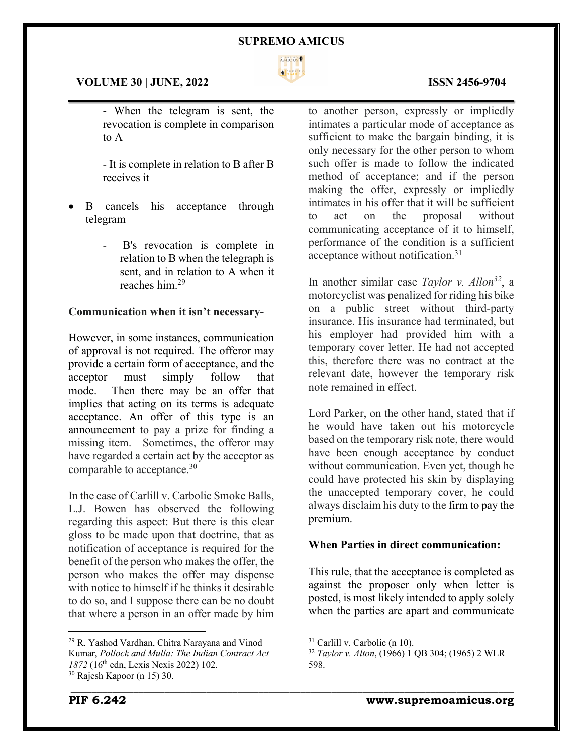

 $\mathcal{L}_\mathcal{L} = \mathcal{L}_\mathcal{L} = \mathcal{L}_\mathcal{L} = \mathcal{L}_\mathcal{L} = \mathcal{L}_\mathcal{L} = \mathcal{L}_\mathcal{L} = \mathcal{L}_\mathcal{L} = \mathcal{L}_\mathcal{L} = \mathcal{L}_\mathcal{L} = \mathcal{L}_\mathcal{L} = \mathcal{L}_\mathcal{L} = \mathcal{L}_\mathcal{L} = \mathcal{L}_\mathcal{L} = \mathcal{L}_\mathcal{L} = \mathcal{L}_\mathcal{L} = \mathcal{L}_\mathcal{L} = \mathcal{L}_\mathcal{L}$ 

#### **VOLUME 30 | JUNE, 2022 ISSN 2456-9704**

- When the telegram is sent, the revocation is complete in comparison to A

- It is complete in relation to B after B receives it

- B cancels his acceptance through telegram
	- B's revocation is complete in relation to B when the telegraph is sent, and in relation to A when it reaches him.29

#### **Communication when it isn't necessary-**

However, in some instances, communication of approval is not required. The offeror may provide a certain form of acceptance, and the acceptor must simply follow that mode. Then there may be an offer that implies that acting on its terms is adequate acceptance. An offer of this type is an announcement to pay a prize for finding a missing item. Sometimes, the offeror may have regarded a certain act by the acceptor as comparable to acceptance.30

In the case of Carlill v. Carbolic Smoke Balls, L.J. Bowen has observed the following regarding this aspect: But there is this clear gloss to be made upon that doctrine, that as notification of acceptance is required for the benefit of the person who makes the offer, the person who makes the offer may dispense with notice to himself if he thinks it desirable to do so, and I suppose there can be no doubt that where a person in an offer made by him to another person, expressly or impliedly intimates a particular mode of acceptance as sufficient to make the bargain binding, it is only necessary for the other person to whom such offer is made to follow the indicated method of acceptance; and if the person making the offer, expressly or impliedly intimates in his offer that it will be sufficient to act on the proposal without communicating acceptance of it to himself, performance of the condition is a sufficient acceptance without notification.31

In another similar case *Taylor v. Allon32*, a motorcyclist was penalized for riding his bike on a public street without third-party insurance. His insurance had terminated, but his employer had provided him with a temporary cover letter. He had not accepted this, therefore there was no contract at the relevant date, however the temporary risk note remained in effect.

Lord Parker, on the other hand, stated that if he would have taken out his motorcycle based on the temporary risk note, there would have been enough acceptance by conduct without communication. Even yet, though he could have protected his skin by displaying the unaccepted temporary cover, he could always disclaim his duty to the firm to pay the premium.

### **When Parties in direct communication:**

This rule, that the acceptance is completed as against the proposer only when letter is posted, is most likely intended to apply solely when the parties are apart and communicate

<sup>29</sup> R. Yashod Vardhan, Chitra Narayana and Vinod Kumar, *Pollock and Mulla: The Indian Contract Act 1872* (16th edn, Lexis Nexis 2022) 102. <sup>30</sup> Rajesh Kapoor (n 15) 30.

<sup>31</sup> Carlill v. Carbolic (n 10).

<sup>32</sup> *Taylor v. Alton*, (1966) 1 QB 304; (1965) 2 WLR 598.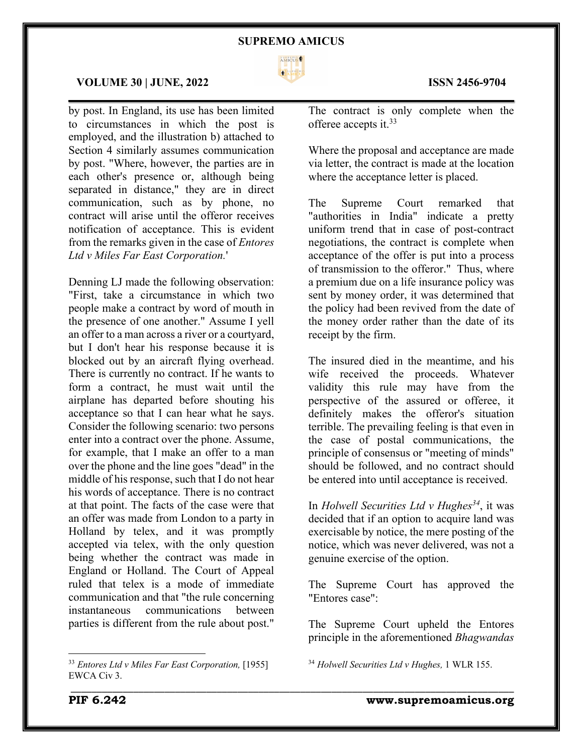

 $\mathcal{L}_\mathcal{L} = \mathcal{L}_\mathcal{L} = \mathcal{L}_\mathcal{L} = \mathcal{L}_\mathcal{L} = \mathcal{L}_\mathcal{L} = \mathcal{L}_\mathcal{L} = \mathcal{L}_\mathcal{L} = \mathcal{L}_\mathcal{L} = \mathcal{L}_\mathcal{L} = \mathcal{L}_\mathcal{L} = \mathcal{L}_\mathcal{L} = \mathcal{L}_\mathcal{L} = \mathcal{L}_\mathcal{L} = \mathcal{L}_\mathcal{L} = \mathcal{L}_\mathcal{L} = \mathcal{L}_\mathcal{L} = \mathcal{L}_\mathcal{L}$ 

#### **VOLUME 30 | JUNE, 2022 ISSN 2456-9704**

by post. In England, its use has been limited to circumstances in which the post is employed, and the illustration b) attached to Section 4 similarly assumes communication by post. "Where, however, the parties are in each other's presence or, although being separated in distance," they are in direct communication, such as by phone, no contract will arise until the offeror receives notification of acceptance. This is evident from the remarks given in the case of *Entores Ltd v Miles Far East Corporation.*'

Denning LJ made the following observation: "First, take a circumstance in which two people make a contract by word of mouth in the presence of one another." Assume I yell an offer to a man across a river or a courtyard, but I don't hear his response because it is blocked out by an aircraft flying overhead. There is currently no contract. If he wants to form a contract, he must wait until the airplane has departed before shouting his acceptance so that I can hear what he says. Consider the following scenario: two persons enter into a contract over the phone. Assume, for example, that I make an offer to a man over the phone and the line goes "dead" in the middle of his response, such that I do not hear his words of acceptance. There is no contract at that point. The facts of the case were that an offer was made from London to a party in Holland by telex, and it was promptly accepted via telex, with the only question being whether the contract was made in England or Holland. The Court of Appeal ruled that telex is a mode of immediate communication and that "the rule concerning instantaneous communications between parties is different from the rule about post."

<sup>33</sup> *Entores Ltd v Miles Far East Corporation,* [1955] EWCA Civ 3.

The contract is only complete when the offeree accepts it. 33

Where the proposal and acceptance are made via letter, the contract is made at the location where the acceptance letter is placed.

The Supreme Court remarked that "authorities in India" indicate a pretty uniform trend that in case of post-contract negotiations, the contract is complete when acceptance of the offer is put into a process of transmission to the offeror." Thus, where a premium due on a life insurance policy was sent by money order, it was determined that the policy had been revived from the date of the money order rather than the date of its receipt by the firm.

The insured died in the meantime, and his wife received the proceeds. Whatever validity this rule may have from the perspective of the assured or offeree, it definitely makes the offeror's situation terrible. The prevailing feeling is that even in the case of postal communications, the principle of consensus or "meeting of minds" should be followed, and no contract should be entered into until acceptance is received.

In *Holwell Securities Ltd v Hughes*<sup>34</sup>, it was decided that if an option to acquire land was exercisable by notice, the mere posting of the notice, which was never delivered, was not a genuine exercise of the option.

The Supreme Court has approved the "Entores case":

The Supreme Court upheld the Entores principle in the aforementioned *Bhagwandas* 

<sup>34</sup> *Holwell Securities Ltd v Hughes,* 1 WLR 155.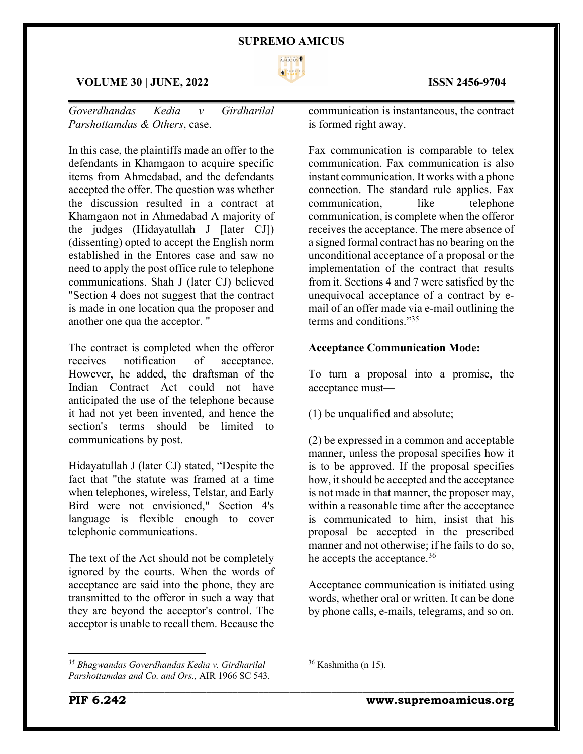

#### **VOLUME 30 | JUNE, 2022 ISSN 2456-9704**

*Goverdhandas Kedia v Girdharilal Parshottamdas & Others*, case.

In this case, the plaintiffs made an offer to the defendants in Khamgaon to acquire specific items from Ahmedabad, and the defendants accepted the offer. The question was whether the discussion resulted in a contract at Khamgaon not in Ahmedabad A majority of the judges (Hidayatullah J [later CJ]) (dissenting) opted to accept the English norm established in the Entores case and saw no need to apply the post office rule to telephone communications. Shah J (later CJ) believed "Section 4 does not suggest that the contract is made in one location qua the proposer and another one qua the acceptor. "

The contract is completed when the offeror receives notification of acceptance. However, he added, the draftsman of the Indian Contract Act could not have anticipated the use of the telephone because it had not yet been invented, and hence the section's terms should be limited to communications by post.

Hidayatullah J (later CJ) stated, "Despite the fact that "the statute was framed at a time when telephones, wireless, Telstar, and Early Bird were not envisioned," Section 4's language is flexible enough to cover telephonic communications.

The text of the Act should not be completely ignored by the courts. When the words of acceptance are said into the phone, they are transmitted to the offeror in such a way that they are beyond the acceptor's control. The acceptor is unable to recall them. Because the

 $\mathcal{L}_\mathcal{L} = \mathcal{L}_\mathcal{L} = \mathcal{L}_\mathcal{L} = \mathcal{L}_\mathcal{L} = \mathcal{L}_\mathcal{L} = \mathcal{L}_\mathcal{L} = \mathcal{L}_\mathcal{L} = \mathcal{L}_\mathcal{L} = \mathcal{L}_\mathcal{L} = \mathcal{L}_\mathcal{L} = \mathcal{L}_\mathcal{L} = \mathcal{L}_\mathcal{L} = \mathcal{L}_\mathcal{L} = \mathcal{L}_\mathcal{L} = \mathcal{L}_\mathcal{L} = \mathcal{L}_\mathcal{L} = \mathcal{L}_\mathcal{L}$ communication is instantaneous, the contract

is formed right away.

Fax communication is comparable to telex communication. Fax communication is also instant communication. It works with a phone connection. The standard rule applies. Fax communication, like telephone communication, is complete when the offeror receives the acceptance. The mere absence of a signed formal contract has no bearing on the unconditional acceptance of a proposal or the implementation of the contract that results from it. Sections 4 and 7 were satisfied by the unequivocal acceptance of a contract by email of an offer made via e-mail outlining the terms and conditions."35

#### **Acceptance Communication Mode:**

To turn a proposal into a promise, the acceptance must—

(1) be unqualified and absolute;

(2) be expressed in a common and acceptable manner, unless the proposal specifies how it is to be approved. If the proposal specifies how, it should be accepted and the acceptance is not made in that manner, the proposer may, within a reasonable time after the acceptance is communicated to him, insist that his proposal be accepted in the prescribed manner and not otherwise; if he fails to do so, he accepts the acceptance.<sup>36</sup>

Acceptance communication is initiated using words, whether oral or written. It can be done by phone calls, e-mails, telegrams, and so on.

*<sup>35</sup> Bhagwandas Goverdhandas Kedia v. Girdharilal Parshottamdas and Co. and Ors.,* AIR 1966 SC 543.

 $36$  Kashmitha (n 15).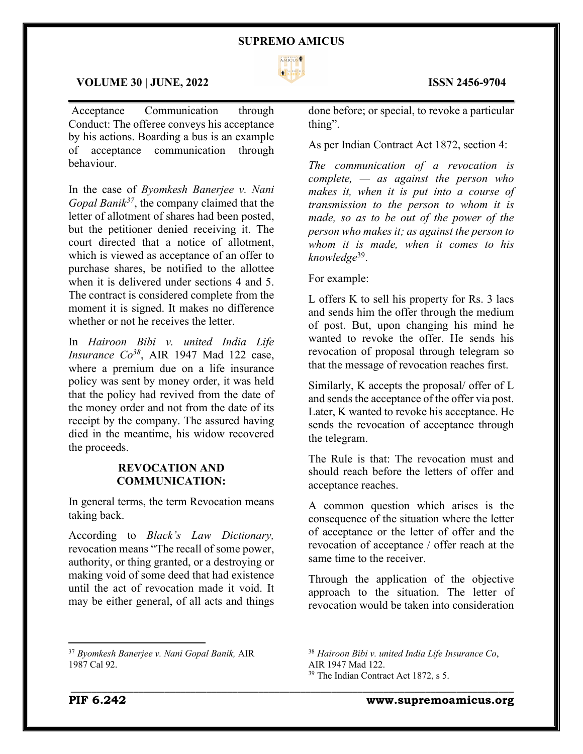

 $\mathcal{L}_\mathcal{L} = \mathcal{L}_\mathcal{L} = \mathcal{L}_\mathcal{L} = \mathcal{L}_\mathcal{L} = \mathcal{L}_\mathcal{L} = \mathcal{L}_\mathcal{L} = \mathcal{L}_\mathcal{L} = \mathcal{L}_\mathcal{L} = \mathcal{L}_\mathcal{L} = \mathcal{L}_\mathcal{L} = \mathcal{L}_\mathcal{L} = \mathcal{L}_\mathcal{L} = \mathcal{L}_\mathcal{L} = \mathcal{L}_\mathcal{L} = \mathcal{L}_\mathcal{L} = \mathcal{L}_\mathcal{L} = \mathcal{L}_\mathcal{L}$ 

#### **VOLUME 30 | JUNE, 2022 ISSN 2456-9704**

Acceptance Communication through Conduct: The offeree conveys his acceptance by his actions. Boarding a bus is an example of acceptance communication through behaviour.

In the case of *Byomkesh Banerjee v. Nani Gopal Banik37*, the company claimed that the letter of allotment of shares had been posted, but the petitioner denied receiving it. The court directed that a notice of allotment, which is viewed as acceptance of an offer to purchase shares, be notified to the allottee when it is delivered under sections 4 and 5. The contract is considered complete from the moment it is signed. It makes no difference whether or not he receives the letter.

In *Hairoon Bibi v. united India Life Insurance Co<sup>38</sup>*, AIR 1947 Mad 122 case, where a premium due on a life insurance policy was sent by money order, it was held that the policy had revived from the date of the money order and not from the date of its receipt by the company. The assured having died in the meantime, his widow recovered the proceeds.

## **REVOCATION AND COMMUNICATION:**

In general terms, the term Revocation means taking back.

According to *Black's Law Dictionary,*  revocation means "The recall of some power, authority, or thing granted, or a destroying or making void of some deed that had existence until the act of revocation made it void. It may be either general, of all acts and things

done before; or special, to revoke a particular thing".

As per Indian Contract Act 1872, section 4:

*The communication of a revocation is complete, — as against the person who makes it, when it is put into a course of transmission to the person to whom it is made, so as to be out of the power of the person who makes it; as against the person to whom it is made, when it comes to his knowledge*39.

For example:

L offers K to sell his property for Rs. 3 lacs and sends him the offer through the medium of post. But, upon changing his mind he wanted to revoke the offer. He sends his revocation of proposal through telegram so that the message of revocation reaches first.

Similarly, K accepts the proposal/ offer of L and sends the acceptance of the offer via post. Later, K wanted to revoke his acceptance. He sends the revocation of acceptance through the telegram.

The Rule is that: The revocation must and should reach before the letters of offer and acceptance reaches.

A common question which arises is the consequence of the situation where the letter of acceptance or the letter of offer and the revocation of acceptance / offer reach at the same time to the receiver.

Through the application of the objective approach to the situation. The letter of revocation would be taken into consideration

\_\_\_\_\_\_\_\_\_\_\_\_\_\_\_\_\_\_\_\_\_\_\_\_\_\_\_\_\_\_\_\_\_\_\_\_\_\_\_\_\_\_\_\_\_\_\_\_\_\_\_\_\_\_\_\_\_\_\_\_\_\_\_\_\_\_\_\_\_\_\_\_\_\_\_\_\_\_\_\_\_\_\_\_\_

<sup>37</sup> *Byomkesh Banerjee v. Nani Gopal Banik,* AIR 1987 Cal 92.

<sup>38</sup> *Hairoon Bibi v. united India Life Insurance Co*, AIR 1947 Mad 122.

<sup>&</sup>lt;sup>39</sup> The Indian Contract Act 1872, s 5.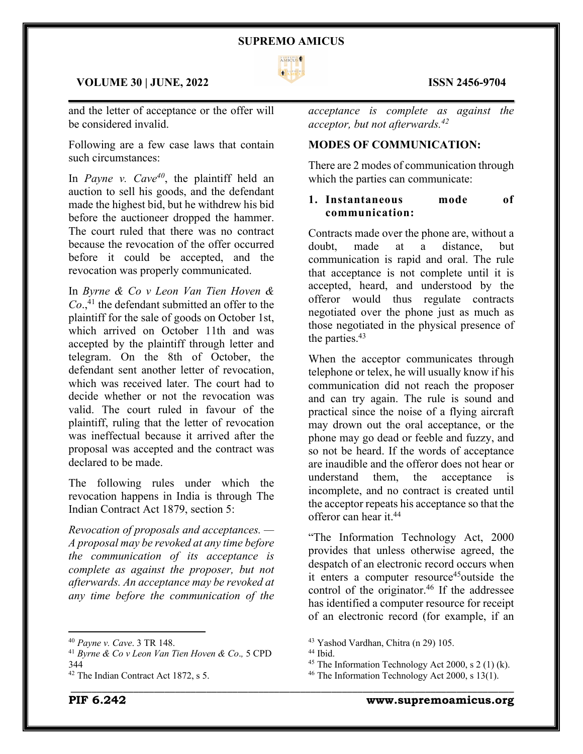

#### **VOLUME 30 | JUNE, 2022 ISSN 2456-9704**

and the letter of acceptance or the offer will be considered invalid.

Following are a few case laws that contain such circumstances:

In *Payne v. Cave<sup>40</sup>*, the plaintiff held an auction to sell his goods, and the defendant made the highest bid, but he withdrew his bid before the auctioneer dropped the hammer. The court ruled that there was no contract because the revocation of the offer occurred before it could be accepted, and the revocation was properly communicated.

In *Byrne & Co v Leon Van Tien Hoven &*  Co.,<sup>41</sup> the defendant submitted an offer to the plaintiff for the sale of goods on October 1st, which arrived on October 11th and was accepted by the plaintiff through letter and telegram. On the 8th of October, the defendant sent another letter of revocation, which was received later. The court had to decide whether or not the revocation was valid. The court ruled in favour of the plaintiff, ruling that the letter of revocation was ineffectual because it arrived after the proposal was accepted and the contract was declared to be made.

The following rules under which the revocation happens in India is through The Indian Contract Act 1879, section 5:

*Revocation of proposals and acceptances. — A proposal may be revoked at any time before the communication of its acceptance is complete as against the proposer, but not afterwards. An acceptance may be revoked at any time before the communication of the* 

*acceptance is complete as against the acceptor, but not afterwards.42*

#### **MODES OF COMMUNICATION:**

There are 2 modes of communication through which the parties can communicate:

### **1. Instantaneous mode of communication:**

Contracts made over the phone are, without a doubt, made at a distance, but communication is rapid and oral. The rule that acceptance is not complete until it is accepted, heard, and understood by the offeror would thus regulate contracts negotiated over the phone just as much as those negotiated in the physical presence of the parties.<sup>43</sup>

When the acceptor communicates through telephone or telex, he will usually know if his communication did not reach the proposer and can try again. The rule is sound and practical since the noise of a flying aircraft may drown out the oral acceptance, or the phone may go dead or feeble and fuzzy, and so not be heard. If the words of acceptance are inaudible and the offeror does not hear or understand them, the acceptance is incomplete, and no contract is created until the acceptor repeats his acceptance so that the offeror can hear it.44

"The Information Technology Act, 2000 provides that unless otherwise agreed, the despatch of an electronic record occurs when it enters a computer resource<sup>45</sup>outside the control of the originator. $46$  If the addressee has identified a computer resource for receipt of an electronic record (for example, if an

<sup>40</sup> *Payne v. Cave*. 3 TR 148.

<sup>41</sup> *Byrne & Co v Leon Van Tien Hoven & Co*.*,* 5 CPD 344

<sup>&</sup>lt;sup>42</sup> The Indian Contract Act 1872, s 5.

<sup>43</sup> Yashod Vardhan, Chitra (n 29) 105.

<sup>44</sup> Ibid.

<sup>&</sup>lt;sup>45</sup> The Information Technology Act 2000, s 2 (1) (k).

<sup>&</sup>lt;sup>46</sup> The Information Technology Act 2000, s  $13(1)$ .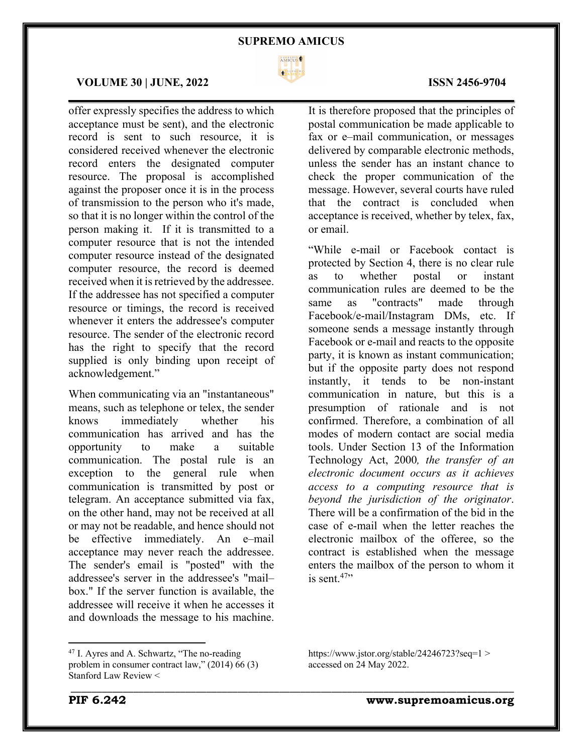

 $\mathcal{L}_\mathcal{L} = \mathcal{L}_\mathcal{L} = \mathcal{L}_\mathcal{L} = \mathcal{L}_\mathcal{L} = \mathcal{L}_\mathcal{L} = \mathcal{L}_\mathcal{L} = \mathcal{L}_\mathcal{L} = \mathcal{L}_\mathcal{L} = \mathcal{L}_\mathcal{L} = \mathcal{L}_\mathcal{L} = \mathcal{L}_\mathcal{L} = \mathcal{L}_\mathcal{L} = \mathcal{L}_\mathcal{L} = \mathcal{L}_\mathcal{L} = \mathcal{L}_\mathcal{L} = \mathcal{L}_\mathcal{L} = \mathcal{L}_\mathcal{L}$ 

#### **VOLUME 30 | JUNE, 2022 ISSN 2456-9704**

offer expressly specifies the address to which acceptance must be sent), and the electronic record is sent to such resource, it is considered received whenever the electronic record enters the designated computer resource. The proposal is accomplished against the proposer once it is in the process of transmission to the person who it's made, so that it is no longer within the control of the person making it. If it is transmitted to a computer resource that is not the intended computer resource instead of the designated computer resource, the record is deemed received when it is retrieved by the addressee. If the addressee has not specified a computer resource or timings, the record is received whenever it enters the addressee's computer resource. The sender of the electronic record has the right to specify that the record supplied is only binding upon receipt of acknowledgement."

When communicating via an "instantaneous" means, such as telephone or telex, the sender knows immediately whether his communication has arrived and has the opportunity to make a suitable communication. The postal rule is an exception to the general rule when communication is transmitted by post or telegram. An acceptance submitted via fax, on the other hand, may not be received at all or may not be readable, and hence should not be effective immediately. An e–mail acceptance may never reach the addressee. The sender's email is "posted" with the addressee's server in the addressee's "mail– box." If the server function is available, the addressee will receive it when he accesses it and downloads the message to his machine.

## It is therefore proposed that the principles of postal communication be made applicable to fax or e–mail communication, or messages delivered by comparable electronic methods,

unless the sender has an instant chance to check the proper communication of the message. However, several courts have ruled that the contract is concluded when acceptance is received, whether by telex, fax, or email.

"While e-mail or Facebook contact is protected by Section 4, there is no clear rule as to whether postal or instant communication rules are deemed to be the same as "contracts" made through Facebook/e-mail/Instagram DMs, etc. If someone sends a message instantly through Facebook or e-mail and reacts to the opposite party, it is known as instant communication; but if the opposite party does not respond instantly, it tends to be non-instant communication in nature, but this is a presumption of rationale and is not confirmed. Therefore, a combination of all modes of modern contact are social media tools. Under Section 13 of the Information Technology Act, 2000*, the transfer of an electronic document occurs as it achieves access to a computing resource that is beyond the jurisdiction of the originator*. There will be a confirmation of the bid in the case of e-mail when the letter reaches the electronic mailbox of the offeree, so the contract is established when the message enters the mailbox of the person to whom it is sent. $47$ <sup>\*</sup>

https://www.jstor.org/stable/24246723?seq=1 > accessed on 24 May 2022.

<sup>&</sup>lt;sup>47</sup> I. Ayres and A. Schwartz, "The no-reading problem in consumer contract law," (2014) 66 (3) Stanford Law Review <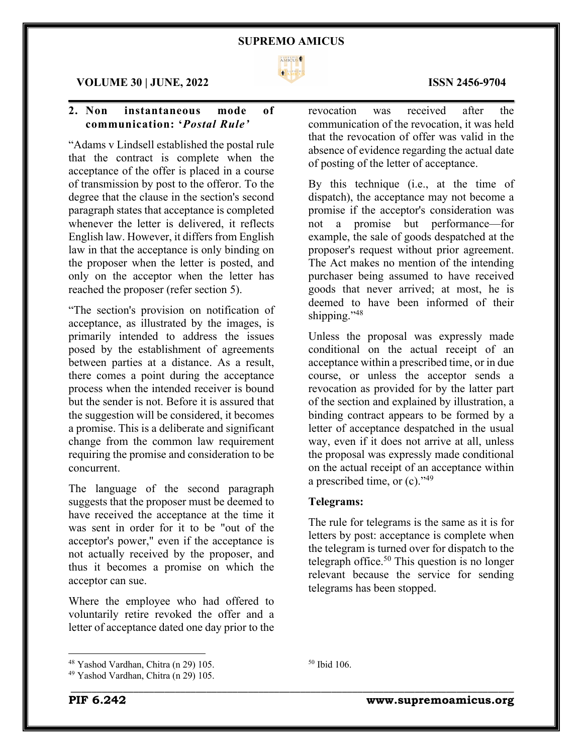

#### **VOLUME 30 | JUNE, 2022 ISSN 2456-9704**

## **2. Non instantaneous mode of communication: '***Postal Rule'*

"Adams v Lindsell established the postal rule that the contract is complete when the acceptance of the offer is placed in a course of transmission by post to the offeror. To the degree that the clause in the section's second paragraph states that acceptance is completed whenever the letter is delivered, it reflects English law. However, it differs from English law in that the acceptance is only binding on the proposer when the letter is posted, and only on the acceptor when the letter has reached the proposer (refer section 5).

"The section's provision on notification of acceptance, as illustrated by the images, is primarily intended to address the issues posed by the establishment of agreements between parties at a distance. As a result, there comes a point during the acceptance process when the intended receiver is bound but the sender is not. Before it is assured that the suggestion will be considered, it becomes a promise. This is a deliberate and significant change from the common law requirement requiring the promise and consideration to be concurrent.

The language of the second paragraph suggests that the proposer must be deemed to have received the acceptance at the time it was sent in order for it to be "out of the acceptor's power," even if the acceptance is not actually received by the proposer, and thus it becomes a promise on which the acceptor can sue.

Where the employee who had offered to voluntarily retire revoked the offer and a letter of acceptance dated one day prior to the

<sup>48</sup> Yashod Vardhan, Chitra (n 29) 105.

revocation was received after the communication of the revocation, it was held that the revocation of offer was valid in the absence of evidence regarding the actual date of posting of the letter of acceptance.

By this technique (i.e., at the time of dispatch), the acceptance may not become a promise if the acceptor's consideration was not a promise but performance—for example, the sale of goods despatched at the proposer's request without prior agreement. The Act makes no mention of the intending purchaser being assumed to have received goods that never arrived; at most, he is deemed to have been informed of their shipping."<sup>48</sup>

Unless the proposal was expressly made conditional on the actual receipt of an acceptance within a prescribed time, or in due course, or unless the acceptor sends a revocation as provided for by the latter part of the section and explained by illustration, a binding contract appears to be formed by a letter of acceptance despatched in the usual way, even if it does not arrive at all, unless the proposal was expressly made conditional on the actual receipt of an acceptance within a prescribed time, or (c)."49

#### **Telegrams:**

<sup>50</sup> Ibid 106.

\_\_\_\_\_\_\_\_\_\_\_\_\_\_\_\_\_\_\_\_\_\_\_\_\_\_\_\_\_\_\_\_\_\_\_\_\_\_\_\_\_\_\_\_\_\_\_\_\_\_\_\_\_\_\_\_\_\_\_\_\_\_\_\_\_\_\_\_\_\_\_\_\_\_\_\_\_\_\_\_\_\_\_\_\_

The rule for telegrams is the same as it is for letters by post: acceptance is complete when the telegram is turned over for dispatch to the telegraph office.<sup>50</sup> This question is no longer relevant because the service for sending telegrams has been stopped.

<sup>49</sup> Yashod Vardhan, Chitra (n 29) 105.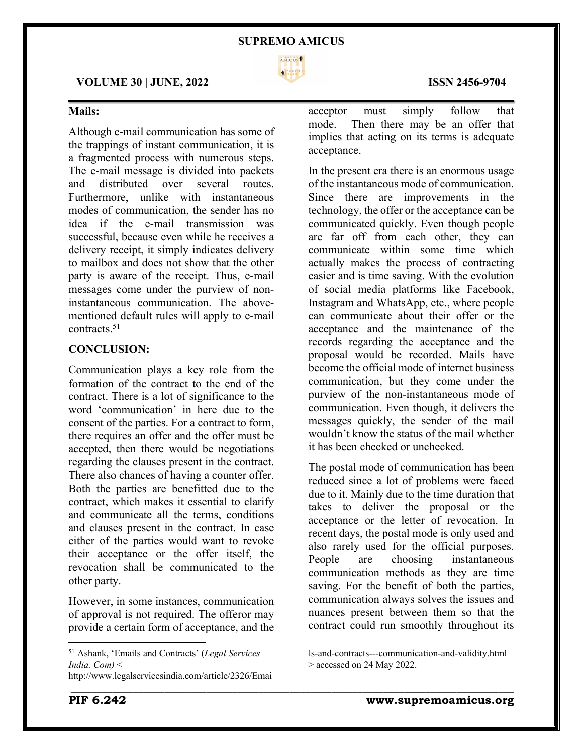

acceptance.

\_\_\_\_\_\_\_\_\_\_\_\_\_\_\_\_\_\_\_\_\_\_\_\_\_\_\_\_\_\_\_\_\_\_\_\_\_\_\_\_\_\_\_\_\_\_\_\_\_\_\_\_\_\_\_\_\_\_\_\_\_\_\_\_\_\_\_\_\_\_\_\_\_\_\_\_\_\_\_\_\_\_\_\_\_

#### **VOLUME 30 | JUNE, 2022 ISSN 2456-9704**

## **Mails:**

Although e-mail communication has some of the trappings of instant communication, it is a fragmented process with numerous steps. The e-mail message is divided into packets and distributed over several routes. Furthermore, unlike with instantaneous modes of communication, the sender has no idea if the e-mail transmission was successful, because even while he receives a delivery receipt, it simply indicates delivery to mailbox and does not show that the other party is aware of the receipt. Thus, e-mail messages come under the purview of noninstantaneous communication. The abovementioned default rules will apply to e-mail contracts.51

#### **CONCLUSION:**

Communication plays a key role from the formation of the contract to the end of the contract. There is a lot of significance to the word 'communication' in here due to the consent of the parties. For a contract to form, there requires an offer and the offer must be accepted, then there would be negotiations regarding the clauses present in the contract. There also chances of having a counter offer. Both the parties are benefitted due to the contract, which makes it essential to clarify and communicate all the terms, conditions and clauses present in the contract. In case either of the parties would want to revoke their acceptance or the offer itself, the revocation shall be communicated to the other party.

However, in some instances, communication of approval is not required. The offeror may provide a certain form of acceptance, and the

#### implies that acting on its terms is adequate

acceptor must simply follow that mode. Then there may be an offer that

In the present era there is an enormous usage of the instantaneous mode of communication. Since there are improvements in the technology, the offer or the acceptance can be communicated quickly. Even though people are far off from each other, they can communicate within some time which actually makes the process of contracting easier and is time saving. With the evolution of social media platforms like Facebook, Instagram and WhatsApp, etc., where people can communicate about their offer or the acceptance and the maintenance of the records regarding the acceptance and the proposal would be recorded. Mails have become the official mode of internet business communication, but they come under the purview of the non-instantaneous mode of communication. Even though, it delivers the messages quickly, the sender of the mail wouldn't know the status of the mail whether it has been checked or unchecked.

The postal mode of communication has been reduced since a lot of problems were faced due to it. Mainly due to the time duration that takes to deliver the proposal or the acceptance or the letter of revocation. In recent days, the postal mode is only used and also rarely used for the official purposes. People are choosing instantaneous communication methods as they are time saving. For the benefit of both the parties, communication always solves the issues and nuances present between them so that the contract could run smoothly throughout its

<sup>51</sup> Ashank, 'Emails and Contracts' (*Legal Services India. Com)* <

http://www.legalservicesindia.com/article/2326/Emai

ls-and-contracts---communication-and-validity.html > accessed on 24 May 2022.